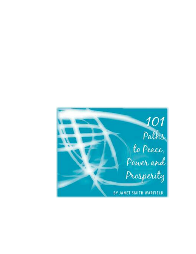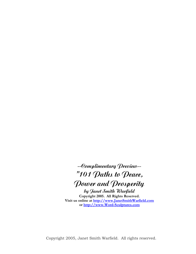**--Complimentary Preview-- "101 Paths to Peace, Power and Prosperity by Janet Smith Warfield Copyright 2005. All Rights Reserved. Visit us online at [http://www.JanetSmithWarfield.com](http://www.janetsmithwarfield.com/) or [http://www.Word-Sculptures.com](http://www.word-sculptures.com/)**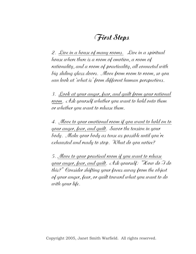#### **First Steps**

2. Live in a house of many rooms. Live in a spiritual house where there is a room of emotion, a room of rationality, and a room of practicality, all connected with big sliding glass doors. Move from room to room, so you can look at 'what is' from different human perspectives.

3. Look at your anger, fear, and guilt from your rational room. Ask yourself whether you want to hold onto them or whether you want to release them.

4. Move to your emotional room if you want to hold on to your anger, fear, and guilt. Savor the tension in your body. Make your body as tense as possible until you're exhausted and ready to stop. What do you notice?

5. Move to your practical room if you want to release your anger, fear, and guilt. Ask yourself: "How do I do this?" Consider shifting your focus away from the object of your anger, fear, or guilt toward what you want to do with your life.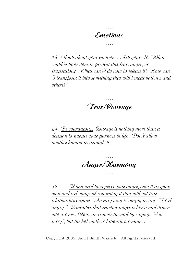## **Emotions ….**

**….** 

18. Think about your emotions. Ask yourself, "What could I have done to prevent this fear, anger, or frustration? What can I do now to release it? How can I transform it into something that will benefit both me and others?"

**Fear/Courage ….** 

**….** 

24. Be courageous. Courage is nothing more than a decision to pursue your purpose in life. Don't allow another human to strangle it.

**…. Anger/Harmony ….** 

32. If you need to express your anger, own it as your own and seek ways of conveying it that will not tear relationships apart. An easy way is simply to say, "I feel angry." Remember that reactive anger is like a nail driven into a fence. You can remove the nail by saying "I'm sorry", but the hole in the relationship remains.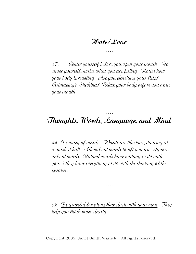**…. Hate/Love ….** 

37. Center yourself before you open your mouth. To center yourself, notice what you are feeling. Notice how your body is reacting. Are you clenching your fists? Grimacing? Shaking? Relax your body before you open your mouth.

### **Thoughts, Words, Language, and Mind**

**….** 

44. Be wary of words. Words are illusions, dancing at a masked ball. Allow kind words to lift you up. Ignore unkind words. Unkind words have nothing to do with you. They have everything to do with the thinking of the speaker.

**….** 

52. Be grateful for views that clash with your own. They help you think more clearly.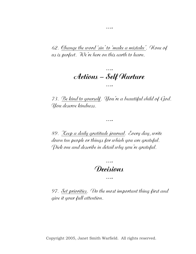62. Change the word 'sin' to 'make a mistake'. None of us is perfect. We're here on this earth to learn.

**….**

#### **…. Actions – Self Nurture ….**

73. Be kind to yourself. You're a beautiful child of God. You deserve kindness.

**….** 

89. Keep a daily gratitude journal. Every day, write down ten people or things for which you are grateful. Pick one and describe in detail why you're grateful.

# **…. Decisions ….**

97. Set priorities. Do the most important thing first and give it your full attention.